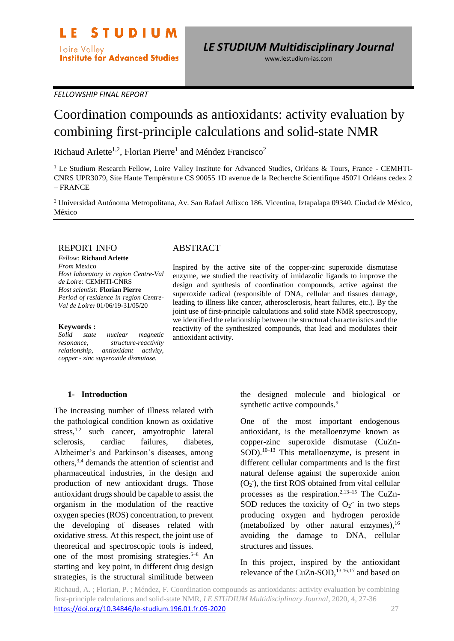www.lestudium-ias.com

*FELLOWSHIP FINAL REPORT*

# Coordination compounds as antioxidants: activity evaluation by combining first-principle calculations and solid-state NMR

Richaud Arlette<sup>1,2</sup>, Florian Pierre<sup>1</sup> and Méndez Francisco<sup>2</sup>

<sup>1</sup> Le Studium Research Fellow, Loire Valley Institute for Advanced Studies, Orléans & Tours, France - CEMHTI-CNRS UPR3079, Site Haute Température CS 90055 1D avenue de la Recherche Scientifique 45071 Orléans cedex 2 – FRANCE

<sup>2</sup> Universidad Autónoma Metropolitana, Av. San Rafael Atlixco 186. Vicentina, Iztapalapa 09340. Ciudad de México, México

#### REPORT INFO

*Fellow:* **Richaud Arlette** *From* Mexico *Host laboratory in region Centre-Val de Loire:* CEMHTI-CNRS *Host scientist:* **Florian Pierre** *Period of residence in region Centre-Val de Loire:* 01/06/19-31/05/20

#### **Keywords :**

*Solid state nuclear magnetic resonance, structure-reactivity relationship, antioxidant activity, copper - zinc superoxide dismutase.*

## ABSTRACT

Inspired by the active site of the copper-zinc superoxide dismutase enzyme, we studied the reactivity of imidazolic ligands to improve the design and synthesis of coordination compounds, active against the superoxide radical (responsible of DNA, cellular and tissues damage, leading to illness like cancer, atherosclerosis, heart failures, etc.). By the joint use of first-principle calculations and solid state NMR spectroscopy, we identified the relationship between the structural characteristics and the reactivity of the synthesized compounds, that lead and modulates their antioxidant activity.

#### **1- Introduction**

The increasing number of illness related with the pathological condition known as oxidative stress,<sup>1,2</sup> such cancer, amyotrophic lateral sclerosis, cardiac failures, diabetes, Alzheimer's and Parkinson's diseases, among others,3,4 demands the attention of scientist and pharmaceutical industries, in the design and production of new antioxidant drugs. Those antioxidant drugs should be capable to assist the organism in the modulation of the reactive oxygen species (ROS) concentration, to prevent the developing of diseases related with oxidative stress. At this respect, the joint use of theoretical and spectroscopic tools is indeed, one of the most promising strategies.<sup>5–8</sup> An starting and key point, in different drug design strategies, is the structural similitude between

the designed molecule and biological or synthetic active compounds.<sup>9</sup>

One of the most important endogenous antioxidant, is the metalloenzyme known as copper-zinc superoxide dismutase (CuZn-SOD).10–13 This metalloenzyme, is present in different cellular compartments and is the first natural defense against the superoxide anion  $(O_2)$ , the first ROS obtained from vital cellular processes as the respiration.<sup>2,13–15</sup> The CuZn-SOD reduces the toxicity of  $O_2$  in two steps producing oxygen and hydrogen peroxide (metabolized by other natural enzymes), $16$ avoiding the damage to DNA, cellular structures and tissues.

In this project, inspired by the antioxidant relevance of the CuZn-SOD,<sup>13,16,17</sup> and based on

Richaud, A. ; Florian, P. ; Méndez, F. Coordination compounds as antioxidants: activity evaluation by combining first-principle calculations and solid-state NMR, *LE STUDIUM Multidisciplinary Journal*, 2020, 4, 27-36 <https://doi.org/10.34846/le-studium.196.01.fr.05-2020> 27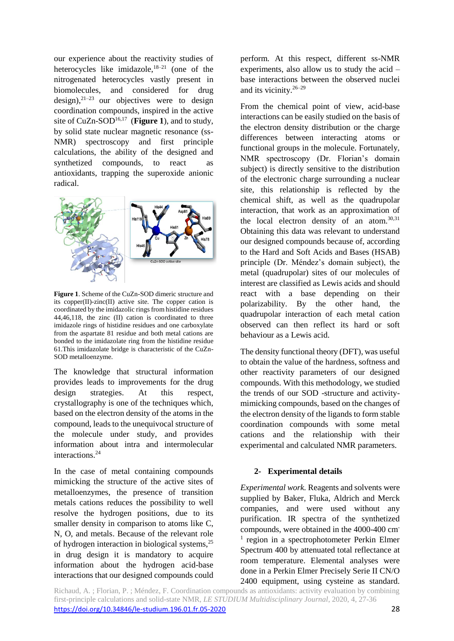our experience about the reactivity studies of heterocycles like imidazole, $18-21$  (one of the nitrogenated heterocycles vastly present in biomolecules, and considered for drug design), $21-23$  our objectives were to design coordination compounds, inspired in the active site of CuZn-SOD<sup>16,17</sup> (Figure 1), and to study, by solid state nuclear magnetic resonance (ss-NMR) spectroscopy and first principle calculations, the ability of the designed and synthetized compounds, to react as antioxidants, trapping the superoxide anionic radical.



**Figure 1**. Scheme of the CuZn-SOD dimeric structure and its copper(II)-zinc(II) active site. The copper cation is coordinated by the imidazolic rings from histidine residues 44,46,118, the zinc (II) cation is coordinated to three imidazole rings of histidine residues and one carboxylate from the aspartate 81 residue and both metal cations are bonded to the imidazolate ring from the histidine residue 61.This imidazolate bridge is characteristic of the CuZn-SOD metalloenzyme.

The knowledge that structural information provides leads to improvements for the drug design strategies. At this respect, crystallography is one of the techniques which, based on the electron density of the atoms in the compound, leads to the unequivocal structure of the molecule under study, and provides information about intra and intermolecular interactions.<sup>24</sup>

In the case of metal containing compounds mimicking the structure of the active sites of metalloenzymes, the presence of transition metals cations reduces the possibility to well resolve the hydrogen positions, due to its smaller density in comparison to atoms like C, N, O, and metals. Because of the relevant role of hydrogen interaction in biological systems,<sup>25</sup> in drug design it is mandatory to acquire information about the hydrogen acid-base interactions that our designed compounds could perform. At this respect, different ss-NMR experiments, also allow us to study the acid – base interactions between the observed nuclei and its vicinity.26–29

From the chemical point of view, acid-base interactions can be easily studied on the basis of the electron density distribution or the charge differences between interacting atoms or functional groups in the molecule. Fortunately, NMR spectroscopy (Dr. Florian's domain subject) is directly sensitive to the distribution of the electronic charge surrounding a nuclear site, this relationship is reflected by the chemical shift, as well as the quadrupolar interaction, that work as an approximation of the local electron density of an atom.30,31 Obtaining this data was relevant to understand our designed compounds because of, according to the Hard and Soft Acids and Bases (HSAB) principle (Dr. Méndez's domain subject), the metal (quadrupolar) sites of our molecules of interest are classified as Lewis acids and should react with a base depending on their polarizability. By the other hand, the quadrupolar interaction of each metal cation observed can then reflect its hard or soft behaviour as a Lewis acid.

The density functional theory (DFT), was useful to obtain the value of the hardness, softness and other reactivity parameters of our designed compounds. With this methodology, we studied the trends of our SOD -structure and activitymimicking compounds, based on the changes of the electron density of the ligands to form stable coordination compounds with some metal cations and the relationship with their experimental and calculated NMR parameters.

## **2- Experimental details**

*Experimental work.* Reagents and solvents were supplied by Baker, Fluka, Aldrich and Merck companies, and were used without any purification. IR spectra of the synthetized compounds, were obtained in the 4000-400 cm-<sup>1</sup> region in a spectrophotometer Perkin Elmer Spectrum 400 by attenuated total reflectance at room temperature. Elemental analyses were done in a Perkin Elmer Precisely Serie II CN/O 2400 equipment, using cysteine as standard.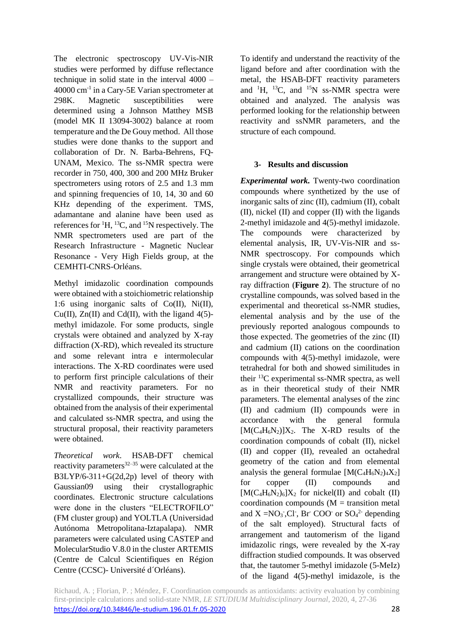The electronic spectroscopy UV-Vis-NIR studies were performed by diffuse reflectance technique in solid state in the interval 4000 – 40000 cm-1 in a Cary-5E Varian spectrometer at 298K. Magnetic susceptibilities were determined using a Johnson Matthey MSB (model MK II 13094-3002) balance at room temperature and the De Gouy method. All those studies were done thanks to the support and collaboration of Dr. N. Barba-Behrens, FQ-UNAM, Mexico. The ss-NMR spectra were recorder in 750, 400, 300 and 200 MHz Bruker spectrometers using rotors of 2.5 and 1.3 mm and spinning frequencies of 10, 14, 30 and 60 KHz depending of the experiment. TMS, adamantane and alanine have been used as references for  ${}^{1}H$ ,  ${}^{13}C$ , and  ${}^{15}N$  respectively. The NMR spectrometers used are part of the Research Infrastructure - Magnetic Nuclear Resonance - Very High Fields group, at the CEMHTI-CNRS-Orléans.

Methyl imidazolic coordination compounds were obtained with a stoichiometric relationship 1:6 using inorganic salts of Co(II), Ni(II), Cu(II),  $Zn(II)$  and Cd(II), with the ligand 4(5)methyl imidazole. For some products, single crystals were obtained and analyzed by X-ray diffraction (X-RD), which revealed its structure and some relevant intra e intermolecular interactions. The X-RD coordinates were used to perform first principle calculations of their NMR and reactivity parameters. For no crystallized compounds, their structure was obtained from the analysis of their experimental and calculated ss-NMR spectra, and using the structural proposal, their reactivity parameters were obtained.

*Theoretical work*. HSAB-DFT chemical reactivity parameters $32-35$  were calculated at the B3LYP/6-311+G(2d,2p) level of theory with Gaussian09 using their crystallographic coordinates. Electronic structure calculations were done in the clusters "ELECTROFILO" (FM cluster group) and YOLTLA (Universidad Autónoma Metropolitana-Iztapalapa). NMR parameters were calculated using CASTEP and MolecularStudio V.8.0 in the cluster ARTEMIS (Centre de Calcul Scientifiques en Région Centre (CCSC)- Université d´Orléans).

To identify and understand the reactivity of the ligand before and after coordination with the metal, the HSAB-DFT reactivity parameters and  ${}^{1}$ H,  ${}^{13}$ C, and  ${}^{15}$ N ss-NMR spectra were obtained and analyzed. The analysis was performed looking for the relationship between reactivity and ssNMR parameters, and the structure of each compound.

# **3- Results and discussion**

*Experimental work.* Twenty-two coordination compounds where synthetized by the use of inorganic salts of zinc (II), cadmium (II), cobalt (II), nickel (II) and copper (II) with the ligands 2-methyl imidazole and 4(5)-methyl imidazole. The compounds were characterized by elemental analysis, IR, UV-Vis-NIR and ss-NMR spectroscopy. For compounds which single crystals were obtained, their geometrical arrangement and structure were obtained by Xray diffraction (**Figure 2**). The structure of no crystalline compounds, was solved based in the experimental and theoretical ss-NMR studies, elemental analysis and by the use of the previously reported analogous compounds to those expected. The geometries of the zinc (II) and cadmium (II) cations on the coordination compounds with 4(5)-methyl imidazole, were tetrahedral for both and showed similitudes in their <sup>13</sup>C experimental ss-NMR spectra, as well as in their theoretical study of their NMR parameters. The elemental analyses of the zinc (II) and cadmium (II) compounds were in accordance with the general formula  $[M(C_4H_6N_2)]X_2$ . The X-RD results of the coordination compounds of cobalt (II), nickel (II) and copper (II), revealed an octahedral geometry of the cation and from elemental analysis the general formulae  $[M(C_4H_6N_2)_4X_2]$ for copper (II) compounds and  $[M(C_4H_6N_2)_6]X_2$  for nickel(II) and cobalt (II) coordination compounds  $(M = transition metal)$ and  $X = NO_3$ , Cl., Br COO or  $SO_4^2$  depending of the salt employed). Structural facts of arrangement and tautomerism of the ligand imidazolic rings, were revealed by the X-ray diffraction studied compounds. It was observed that, the tautomer 5-methyl imidazole (5-MeIz) of the ligand 4(5)-methyl imidazole, is the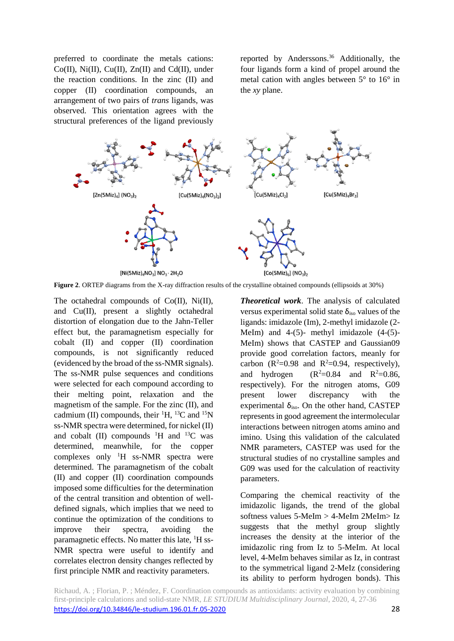preferred to coordinate the metals cations:  $Co(II)$ ,  $Ni(II)$ ,  $Cu(II)$ ,  $Zn(II)$  and  $Cd(II)$ , under the reaction conditions. In the zinc (II) and copper (II) coordination compounds, an arrangement of two pairs of *trans* ligands, was observed. This orientation agrees with the structural preferences of the ligand previously

reported by Anderssons.<sup>36</sup> Additionally, the four ligands form a kind of propel around the metal cation with angles between 5° to 16° in the *xy* plane.



**Figure 2**. ORTEP diagrams from the X-ray diffraction results of the crystalline obtained compounds (ellipsoids at 30%)

The octahedral compounds of Co(II), Ni(II), and Cu(II), present a slightly octahedral distortion of elongation due to the Jahn-Teller effect but, the paramagnetism especially for cobalt (II) and copper (II) coordination compounds, is not significantly reduced (evidenced by the broad of the ss-NMR signals). The ss-NMR pulse sequences and conditions were selected for each compound according to their melting point, relaxation and the magnetism of the sample. For the zinc (II), and cadmium (II) compounds, their  ${}^{1}H$ ,  ${}^{13}C$  and  ${}^{15}N$ ss-NMR spectra were determined, for nickel (II) and cobalt  $(II)$  compounds  $^1H$  and  $^{13}C$  was determined, meanwhile, for the copper complexes only <sup>1</sup>H ss-NMR spectra were determined. The paramagnetism of the cobalt (II) and copper (II) coordination compounds imposed some difficulties for the determination of the central transition and obtention of welldefined signals, which implies that we need to continue the optimization of the conditions to improve their spectra, avoiding the paramagnetic effects. No matter this late, <sup>1</sup>H ss-NMR spectra were useful to identify and correlates electron density changes reflected by first principle NMR and reactivity parameters.

*Theoretical work*. The analysis of calculated versus experimental solid state  $\delta_{\text{iso}}$  values of the ligands: imidazole (Im), 2-methyl imidazole (2- MeIm) and  $4-(5)$ - methyl imidazole  $(4-(5)$ -MeIm) shows that CASTEP and Gaussian09 provide good correlation factors, meanly for carbon ( $R^2=0.98$  and  $R^2=0.94$ , respectively), and hydrogen  $(R^2=0.84$  and  $R^2=0.86$ , respectively). For the nitrogen atoms, G09 present lower discrepancy with the experimental  $\delta_{\text{iso}}$ . On the other hand, CASTEP represents in good agreement the intermolecular interactions between nitrogen atoms amino and imino. Using this validation of the calculated NMR parameters, CASTEP was used for the structural studies of no crystalline samples and G09 was used for the calculation of reactivity parameters.

Comparing the chemical reactivity of the imidazolic ligands, the trend of the global softness values 5-MeIm > 4-MeIm 2MeIm> Iz suggests that the methyl group slightly increases the density at the interior of the imidazolic ring from Iz to 5-MeIm. At local level, 4-MeIm behaves similar as Iz, in contrast to the symmetrical ligand 2-MeIz (considering its ability to perform hydrogen bonds). This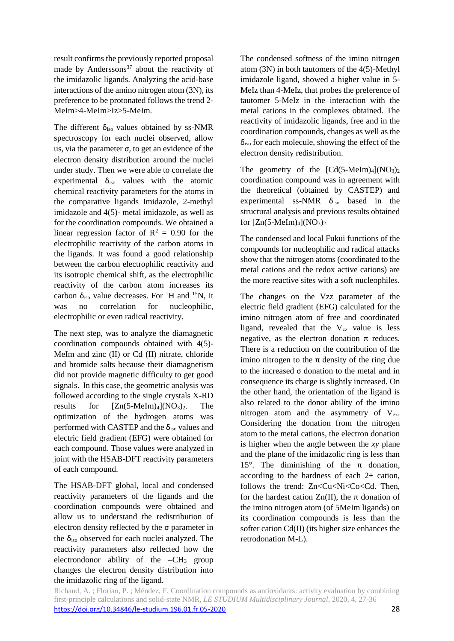result confirms the previously reported proposal made by Anderssons $37$  about the reactivity of the imidazolic ligands. Analyzing the acid-base interactions of the amino nitrogen atom (3N), its preference to be protonated follows the trend 2- MeIm>4-MeIm>Iz>5-MeIm.

The different  $\delta_{iso}$  values obtained by ss-NMR spectroscopy for each nuclei observed, allow us, via the parameter σ, to get an evidence of the electron density distribution around the nuclei under study. Then we were able to correlate the experimental  $\delta_{\text{iso}}$  values with the atomic chemical reactivity parameters for the atoms in the comparative ligands Imidazole, 2-methyl imidazole and 4(5)- metal imidazole, as well as for the coordination compounds. We obtained a linear regression factor of  $R^2 = 0.90$  for the electrophilic reactivity of the carbon atoms in the ligands. It was found a good relationship between the carbon electrophilic reactivity and its isotropic chemical shift, as the electrophilic reactivity of the carbon atom increases its carbon  $\delta_{iso}$  value decreases. For <sup>1</sup>H and <sup>15</sup>N, it was no correlation for nucleophilic, electrophilic or even radical reactivity.

The next step, was to analyze the diamagnetic coordination compounds obtained with 4(5)- MeIm and zinc (II) or Cd (II) nitrate, chloride and bromide salts because their diamagnetism did not provide magnetic difficulty to get good signals. In this case, the geometric analysis was followed according to the single crystals X-RD results for  $[Zn(5-Melm)_4](NO_3)_2$ . The optimization of the hydrogen atoms was performed with CASTEP and the  $\delta_{\text{iso}}$  values and electric field gradient (EFG) were obtained for each compound. Those values were analyzed in joint with the HSAB-DFT reactivity parameters of each compound.

The HSAB-DFT global, local and condensed reactivity parameters of the ligands and the coordination compounds were obtained and allow us to understand the redistribution of electron density reflected by the σ parameter in the  $\delta_{\text{iso}}$  observed for each nuclei analyzed. The reactivity parameters also reflected how the electrondonor ability of the  $-CH_3$  group changes the electron density distribution into the imidazolic ring of the ligand.

The condensed softness of the imino nitrogen atom (3N) in both tautomers of the 4(5)-Methyl imidazole ligand, showed a higher value in 5- MeIz than 4-MeIz, that probes the preference of tautomer 5-MeIz in the interaction with the metal cations in the complexes obtained. The reactivity of imidazolic ligands, free and in the coordination compounds, changes as well as the  $\delta_{\text{iso}}$  for each molecule, showing the effect of the electron density redistribution.

The geometry of the  $[Cd(5-Melm)<sub>4</sub>](NO<sub>3</sub>)<sub>2</sub>$ coordination compound was in agreement with the theoretical (obtained by CASTEP) and experimental ss-NMR  $\delta_{iso}$  based in the structural analysis and previous results obtained for  $[Zn(5-Melm)<sub>4</sub>](NO<sub>3</sub>)<sub>2</sub>$ .

The condensed and local Fukui functions of the compounds for nucleophilic and radical attacks show that the nitrogen atoms (coordinated to the metal cations and the redox active cations) are the more reactive sites with a soft nucleophiles.

The changes on the Vzz parameter of the electric field gradient (EFG) calculated for the imino nitrogen atom of free and coordinated ligand, revealed that the  $V_{zz}$  value is less negative, as the electron donation  $\pi$  reduces. There is a reduction on the contribution of the imino nitrogen to the  $\pi$  density of the ring due to the increased σ donation to the metal and in consequence its charge is slightly increased. On the other hand, the orientation of the ligand is also related to the donor ability of the imino nitrogen atom and the asymmetry of  $V_{zz}$ . Considering the donation from the nitrogen atom to the metal cations, the electron donation is higher when the angle between the *xy* plane and the plane of the imidazolic ring is less than 15°. The diminishing of the  $\pi$  donation, according to the hardness of each 2+ cation, follows the trend: Zn<Cu<Ni<Co<Cd. Then, for the hardest cation  $Zn(II)$ , the  $\pi$  donation of the imino nitrogen atom (of 5MeIm ligands) on its coordination compounds is less than the softer cation Cd(II) (its higher size enhances the retrodonation M-L).

Richaud, A. ; Florian, P. ; Méndez, F. Coordination compounds as antioxidants: activity evaluation by combining first-principle calculations and solid-state NMR, *LE STUDIUM Multidisciplinary Journal*, 2020, 4, 27-36 <https://doi.org/10.34846/le-studium.196.01.fr.05-2020> 28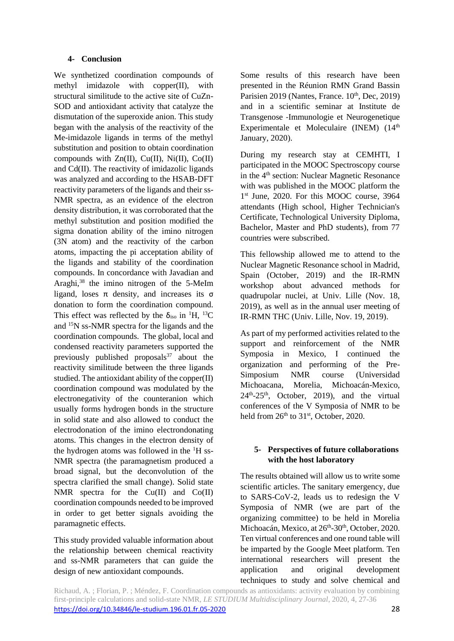# **4- Conclusion**

We synthetized coordination compounds of methyl imidazole with copper(II), with structural similitude to the active site of CuZn-SOD and antioxidant activity that catalyze the dismutation of the superoxide anion. This study began with the analysis of the reactivity of the Me-imidazole ligands in terms of the methyl substitution and position to obtain coordination compounds with Zn(II), Cu(II), Ni(II), Co(II) and Cd(II). The reactivity of imidazolic ligands was analyzed and according to the HSAB-DFT reactivity parameters of the ligands and their ss-NMR spectra, as an evidence of the electron density distribution, it was corroborated that the methyl substitution and position modified the sigma donation ability of the imino nitrogen (3N atom) and the reactivity of the carbon atoms, impacting the pi acceptation ability of the ligands and stability of the coordination compounds. In concordance with Javadian and Araghi,<sup>38</sup> the imino nitrogen of the 5-MeIm ligand, loses  $\pi$  density, and increases its  $\sigma$ donation to form the coordination compound. This effect was reflected by the  $\delta_{\text{iso}}$  in <sup>1</sup>H, <sup>13</sup>C and <sup>15</sup>N ss-NMR spectra for the ligands and the coordination compounds. The global, local and condensed reactivity parameters supported the previously published proposals $37$  about the reactivity similitude between the three ligands studied. The antioxidant ability of the copper(II) coordination compound was modulated by the electronegativity of the counteranion which usually forms hydrogen bonds in the structure in solid state and also allowed to conduct the electrodonation of the imino electrondonating atoms. This changes in the electron density of the hydrogen atoms was followed in the  ${}^{1}H$  ss-NMR spectra (the paramagnetism produced a broad signal, but the deconvolution of the spectra clarified the small change). Solid state NMR spectra for the  $Cu(II)$  and  $Co(II)$ coordination compounds needed to be improved in order to get better signals avoiding the paramagnetic effects.

This study provided valuable information about the relationship between chemical reactivity and ss-NMR parameters that can guide the design of new antioxidant compounds.

Some results of this research have been presented in the Réunion RMN Grand Bassin Parisien 2019 (Nantes, France.  $10<sup>th</sup>$ , Dec, 2019) and in a scientific seminar at Institute de Transgenose -Immunologie et Neurogenetique Experimentale et Moleculaire (INEM) (14<sup>th</sup> January, 2020).

During my research stay at CEMHTI, I participated in the MOOC Spectroscopy course in the 4<sup>th</sup> section: Nuclear Magnetic Resonance with was published in the MOOC platform the 1<sup>st</sup> June, 2020. For this MOOC course, 3964 attendants (High school, Higher Technician's Certificate, Technological University Diploma, Bachelor, Master and PhD students), from 77 countries were subscribed.

This fellowship allowed me to attend to the Nuclear Magnetic Resonance school in Madrid, Spain (October, 2019) and the IR-RMN workshop about advanced methods for quadrupolar nuclei, at Univ. Lille (Nov. 18, 2019), as well as in the annual user meeting of IR-RMN THC (Univ. Lille, Nov. 19, 2019).

As part of my performed activities related to the support and reinforcement of the NMR Symposia in Mexico, I continued the organization and performing of the Pre-Simposium NMR course (Universidad Michoacana, Morelia, Michoacán-Mexico,  $24<sup>th</sup>-25<sup>th</sup>$ , October, 2019), and the virtual conferences of the V Symposia of NMR to be held from  $26<sup>th</sup>$  to  $31<sup>st</sup>$ , October, 2020.

# **5- Perspectives of future collaborations with the host laboratory**

The results obtained will allow us to write some scientific articles. The sanitary emergency, due to SARS-CoV-2, leads us to redesign the V Symposia of NMR (we are part of the organizing committee) to be held in Morelia Michoacán, Mexico, at 26<sup>th</sup>-30<sup>th</sup>, October, 2020. Ten virtual conferences and one round table will be imparted by the Google Meet platform. Ten international researchers will present the application and original development techniques to study and solve chemical and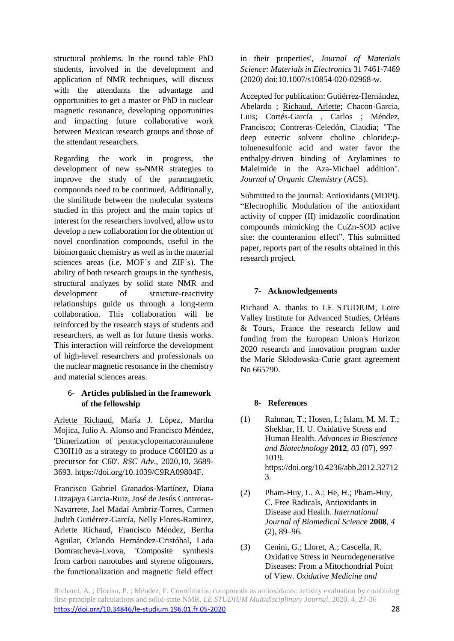structural problems. In the round table PhD students, involved in the development and application of NMR techniques, will discuss with the attendants the advantage and opportunities to get a master or PhD in nuclear magnetic resonance, developing opportunities and impacting future collaborative work between Mexican research groups and those of the attendant researchers.

Regarding the work in progress, the development of new ss-NMR strategies to improve the study of the paramagnetic compounds need to be continued. Additionally, the similitude between the molecular systems studied in this project and the main topics of interest for the researchers involved, allow us to develop a new collaboration for the obtention of novel coordination compounds, useful in the bioinorganic chemistry as well as in the material sciences areas (i.e. MOF´s and ZIF´s). The ability of both research groups in the synthesis, structural analyzes by solid state NMR and development of structure-reactivity relationships guide us through a long-term collaboration. This collaboration will be reinforced by the research stays of students and researchers, as well as for future thesis works. This interaction will reinforce the development of high-level researchers and professionals on the nuclear magnetic resonance in the chemistry and material sciences areas.

#### 6- **Articles published in the framework of the fellowship**

Arlette Richaud, María J. López, Martha Mojica, Julio A. Alonso and Francisco Méndez, 'Dimerization of pentacyclopentacorannulene C30H10 as a strategy to produce C60H20 as a precursor for C60'. *RSC Adv*., 2020,10, 3689- 3693. https://doi.org/10.1039/C9RA09804F.

Francisco Gabriel Granados-Martínez, Diana Litzajaya Garcia-Ruiz, José de Jesús Contreras-Navarrete, Jael Madaí Ambriz-Torres, Carmen Judith Gutiérrez-García, Nelly Flores-Ramirez, Arlette Richaud, Francisco Méndez, Bertha Aguilar, Orlando Hernández-Cristóbal, Lada Domratcheva-Lvova, 'Composite synthesis from carbon nanotubes and styrene oligomers, the functionalization and magnetic field effect in their properties', *Journal of Materials Science: Materials in Electronics* 31 7461-7469 (2020) doi:10.1007/s10854-020-02968-w.

Accepted for publication: Gutiérrez-Hernández, Abelardo ; Richaud, Arlette; Chacon-Garcia, Luis; Cortés-García , Carlos ; Méndez, Francisco; Contreras-Celedón, Claudia; "The deep eutectic solvent choline chloride:*p*toluenesulfonic acid and water favor the enthalpy-driven binding of Arylamines to Maleimide in the Aza-Michael addition". *Journal of Organic Chemistry* (ACS).

Submitted to the journal: Antioxidants (MDPI). "Electrophilic Modulation of the antioxidant activity of copper (II) imidazolic coordination compounds mimicking the CuZn-SOD active site: the counteranion effect". This submitted paper, reports part of the results obtained in this research project.

## **7- Acknowledgements**

Richaud A. thanks to LE STUDIUM, Loire Valley Institute for Advanced Studies, Orléans & Tours, France the research fellow and funding from the European Union's Horizon 2020 research and innovation program under the Marie Skłodowska-Curie grant agreement No 665790.

## **8- References**

- (1) Rahman, T.; Hosen, I.; Islam, M. M. T.; Shekhar, H. U. Oxidative Stress and Human Health. *Advances in Bioscience and Biotechnology* **2012**, *03* (07), 997– 1019. https://doi.org/10.4236/abb.2012.32712 3.
- (2) Pham-Huy, L. A.; He, H.; Pham-Huy, C. Free Radicals, Antioxidants in Disease and Health. *International Journal of Biomedical Science* **2008**, *4* (2), 89–96.
- (3) Cenini, G.; Lloret, A.; Cascella, R. Oxidative Stress in Neurodegenerative Diseases: From a Mitochondrial Point of View. *Oxidative Medicine and*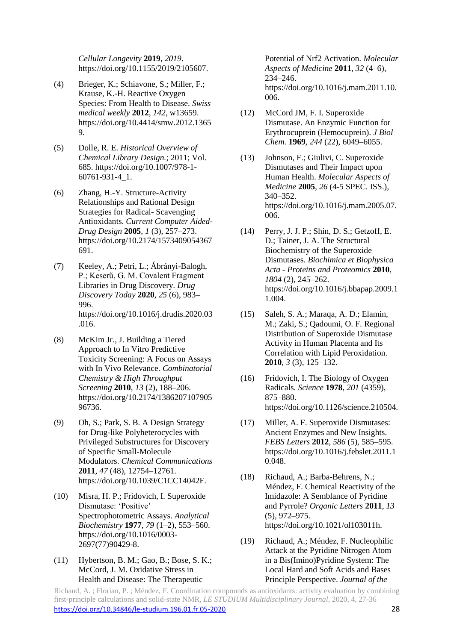*Cellular Longevity* **2019**, *2019*. https://doi.org/10.1155/2019/2105607.

- (4) Brieger, K.; Schiavone, S.; Miller, F.; Krause, K.-H. Reactive Oxygen Species: From Health to Disease. *Swiss medical weekly* **2012**, *142*, w13659. https://doi.org/10.4414/smw.2012.1365 9.
- (5) Dolle, R. E. *Historical Overview of Chemical Library Design.*; 2011; Vol. 685. https://doi.org/10.1007/978-1- 60761-931-4\_1.
- (6) Zhang, H.-Y. Structure-Activity Relationships and Rational Design Strategies for Radical- Scavenging Antioxidants. *Current Computer Aided-Drug Design* **2005**, *1* (3), 257–273. https://doi.org/10.2174/1573409054367 691.
- (7) Keeley, A.; Petri, L.; Ábrányi-Balogh, P.; Keserű, G. M. Covalent Fragment Libraries in Drug Discovery. *Drug Discovery Today* **2020**, *25* (6), 983– 996. https://doi.org/10.1016/j.drudis.2020.03 .016.
- (8) McKim Jr., J. Building a Tiered Approach to In Vitro Predictive Toxicity Screening: A Focus on Assays with In Vivo Relevance. *Combinatorial Chemistry & High Throughput Screening* **2010**, *13* (2), 188–206. https://doi.org/10.2174/1386207107905 96736.
- (9) Oh, S.; Park, S. B. A Design Strategy for Drug-like Polyheterocycles with Privileged Substructures for Discovery of Specific Small-Molecule Modulators. *Chemical Communications* **2011**, *47* (48), 12754–12761. https://doi.org/10.1039/C1CC14042F.
- (10) Misra, H. P.; Fridovich, I. Superoxide Dismutase: 'Positive' Spectrophotometric Assays. *Analytical Biochemistry* **1977**, *79* (1–2), 553–560. https://doi.org/10.1016/0003- 2697(77)90429-8.
- (11) Hybertson, B. M.; Gao, B.; Bose, S. K.; McCord, J. M. Oxidative Stress in Health and Disease: The Therapeutic

Potential of Nrf2 Activation. *Molecular Aspects of Medicine* **2011**, *32* (4–6), 234–246. https://doi.org/10.1016/j.mam.2011.10. 006.

- (12) McCord JM, F. I. Superoxide Dismutase. An Enzymic Function for Erythrocuprein (Hemocuprein). *J Biol Chem.* **1969**, *244* (22), 6049–6055.
- (13) Johnson, F.; Giulivi, C. Superoxide Dismutases and Their Impact upon Human Health. *Molecular Aspects of Medicine* **2005**, *26* (4-5 SPEC. ISS.), 340–352. https://doi.org/10.1016/j.mam.2005.07. 006.
- (14) Perry, J. J. P.; Shin, D. S.; Getzoff, E. D.; Tainer, J. A. The Structural Biochemistry of the Superoxide Dismutases. *Biochimica et Biophysica Acta - Proteins and Proteomics* **2010**, *1804* (2), 245–262. https://doi.org/10.1016/j.bbapap.2009.1 1.004.
- (15) Saleh, S. A.; Maraqa, A. D.; Elamin, M.; Zaki, S.; Qadoumi, O. F. Regional Distribution of Superoxide Dismutase Activity in Human Placenta and Its Correlation with Lipid Peroxidation. **2010**, *3* (3), 125–132.
- (16) Fridovich, I. The Biology of Oxygen Radicals. *Science* **1978**, *201* (4359), 875–880. https://doi.org/10.1126/science.210504.
- (17) Miller, A. F. Superoxide Dismutases: Ancient Enzymes and New Insights. *FEBS Letters* **2012**, *586* (5), 585–595. https://doi.org/10.1016/j.febslet.2011.1 0.048.
- (18) Richaud, A.; Barba-Behrens, N.; Méndez, F. Chemical Reactivity of the Imidazole: A Semblance of Pyridine and Pyrrole? *Organic Letters* **2011**, *13* (5), 972–975. https://doi.org/10.1021/ol103011h.
- (19) Richaud, A.; Méndez, F. Nucleophilic Attack at the Pyridine Nitrogen Atom in a Bis(Imino)Pyridine System: The Local Hard and Soft Acids and Bases Principle Perspective. *Journal of the*

Richaud, A. ; Florian, P. ; Méndez, F. Coordination compounds as antioxidants: activity evaluation by combining first-principle calculations and solid-state NMR, *LE STUDIUM Multidisciplinary Journal*, 2020, 4, 27-36 <https://doi.org/10.34846/le-studium.196.01.fr.05-2020> 28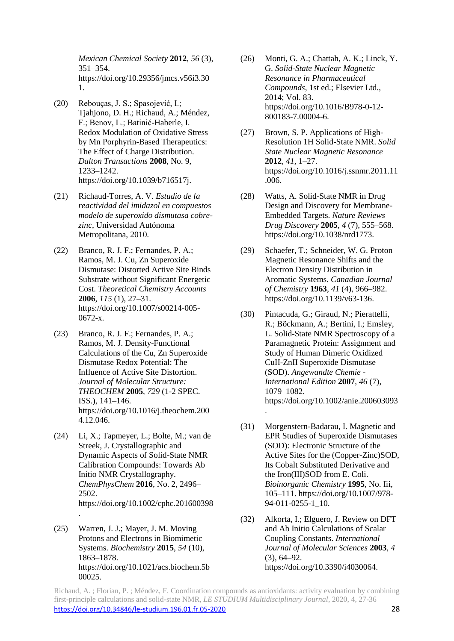*Mexican Chemical Society* **2012**, *56* (3), 351–354. https://doi.org/10.29356/jmcs.v56i3.30 1.

- (20) Rebouças, J. S.; Spasojević, I.; Tjahjono, D. H.; Richaud, A.; Méndez, F.; Benov, L.; Batinić-Haberle, I. Redox Modulation of Oxidative Stress by Mn Porphyrin-Based Therapeutics: The Effect of Charge Distribution. *Dalton Transactions* **2008**, No. 9, 1233–1242. https://doi.org/10.1039/b716517j.
- (21) Richaud-Torres, A. V. *Estudio de la reactividad del imidazol en compuestos modelo de superoxido dismutasa cobrezinc*, Universidad Autónoma Metropolitana, 2010.
- (22) Branco, R. J. F.; Fernandes, P. A.; Ramos, M. J. Cu, Zn Superoxide Dismutase: Distorted Active Site Binds Substrate without Significant Energetic Cost. *Theoretical Chemistry Accounts* **2006**, *115* (1), 27–31. https://doi.org/10.1007/s00214-005- 0672-x.
- (23) Branco, R. J. F.; Fernandes, P. A.; Ramos, M. J. Density-Functional Calculations of the Cu, Zn Superoxide Dismutase Redox Potential: The Influence of Active Site Distortion. *Journal of Molecular Structure: THEOCHEM* **2005**, *729* (1-2 SPEC. ISS.), 141–146. https://doi.org/10.1016/j.theochem.200 4.12.046.
- (24) Li, X.; Tapmeyer, L.; Bolte, M.; van de Streek, J. Crystallographic and Dynamic Aspects of Solid-State NMR Calibration Compounds: Towards Ab Initio NMR Crystallography. *ChemPhysChem* **2016**, No. 2, 2496– 2502. https://doi.org/10.1002/cphc.201600398 .
- (25) Warren, J. J.; Mayer, J. M. Moving Protons and Electrons in Biomimetic Systems. *Biochemistry* **2015**, *54* (10), 1863–1878. https://doi.org/10.1021/acs.biochem.5b 00025.
- (26) Monti, G. A.; Chattah, A. K.; Linck, Y. G. *Solid-State Nuclear Magnetic Resonance in Pharmaceutical Compounds*, 1st ed.; Elsevier Ltd., 2014; Vol. 83. https://doi.org/10.1016/B978-0-12- 800183-7.00004-6.
- (27) Brown, S. P. Applications of High-Resolution 1H Solid-State NMR. *Solid State Nuclear Magnetic Resonance* **2012**, *41*, 1–27. https://doi.org/10.1016/j.ssnmr.2011.11 .006.
- (28) Watts, A. Solid-State NMR in Drug Design and Discovery for Membrane-Embedded Targets. *Nature Reviews Drug Discovery* **2005**, *4* (7), 555–568. https://doi.org/10.1038/nrd1773.
- (29) Schaefer, T.; Schneider, W. G. Proton Magnetic Resonance Shifts and the Electron Density Distribution in Aromatic Systems. *Canadian Journal of Chemistry* **1963**, *41* (4), 966–982. https://doi.org/10.1139/v63-136.
- (30) Pintacuda, G.; Giraud, N.; Pierattelli, R.; Böckmann, A.; Bertini, I.; Emsley, L. Solid-State NMR Spectroscopy of a Paramagnetic Protein: Assignment and Study of Human Dimeric Oxidized CuII-ZnII Superoxide Dismutase (SOD). *Angewandte Chemie - International Edition* **2007**, *46* (7), 1079–1082. https://doi.org/10.1002/anie.200603093 .
- (31) Morgenstern-Badarau, I. Magnetic and EPR Studies of Superoxide Dismutases (SOD): Electronic Structure of the Active Sites for the (Copper-Zinc)SOD, Its Cobalt Substituted Derivative and the Iron(III)SOD from E. Coli. *Bioinorganic Chemistry* **1995**, No. Iii, 105–111. https://doi.org/10.1007/978- 94-011-0255-1\_10.
- (32) Alkorta, I.; Elguero, J. Review on DFT and Ab Initio Calculations of Scalar Coupling Constants. *International Journal of Molecular Sciences* **2003**, *4* (3), 64–92. https://doi.org/10.3390/i4030064.

Richaud, A. ; Florian, P. ; Méndez, F. Coordination compounds as antioxidants: activity evaluation by combining first-principle calculations and solid-state NMR, *LE STUDIUM Multidisciplinary Journal*, 2020, 4, 27-36 <https://doi.org/10.34846/le-studium.196.01.fr.05-2020> 28